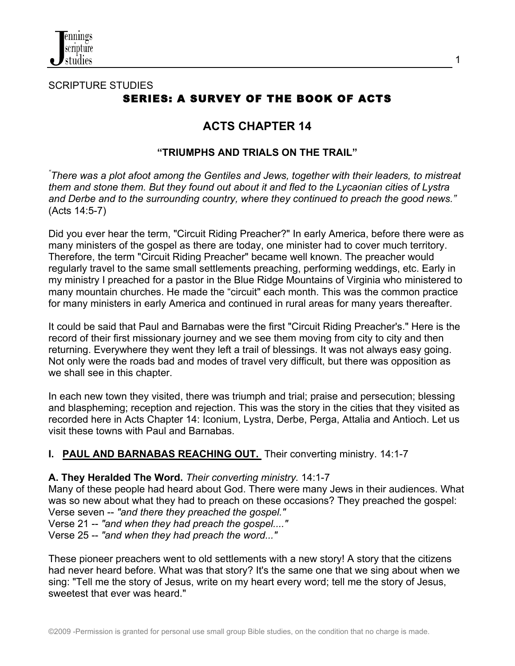

# SCRIPTURE STUDIES SERIES: A SURVEY OF THE BOOK OF ACTS

# **ACTS CHAPTER 14**

1

### **"TRIUMPHS AND TRIALS ON THE TRAIL"**

*" There was a plot afoot among the Gentiles and Jews, together with their leaders, to mistreat them and stone them. But they found out about it and fled to the Lycaonian cities of Lystra and Derbe and to the surrounding country, where they continued to preach the good news."* (Acts 14:5-7)

Did you ever hear the term, "Circuit Riding Preacher?" In early America, before there were as many ministers of the gospel as there are today, one minister had to cover much territory. Therefore, the term "Circuit Riding Preacher" became well known. The preacher would regularly travel to the same small settlements preaching, performing weddings, etc. Early in my ministry I preached for a pastor in the Blue Ridge Mountains of Virginia who ministered to many mountain churches. He made the "circuit" each month. This was the common practice for many ministers in early America and continued in rural areas for many years thereafter.

It could be said that Paul and Barnabas were the first "Circuit Riding Preacher's." Here is the record of their first missionary journey and we see them moving from city to city and then returning. Everywhere they went they left a trail of blessings. It was not always easy going. Not only were the roads bad and modes of travel very difficult, but there was opposition as we shall see in this chapter.

In each new town they visited, there was triumph and trial; praise and persecution; blessing and blaspheming; reception and rejection. This was the story in the cities that they visited as recorded here in Acts Chapter 14: Iconium, Lystra, Derbe, Perga, Attalia and Antioch. Let us visit these towns with Paul and Barnabas.

## **I. PAUL AND BARNABAS REACHING OUT.** Their converting ministry. 14:1-7

## **A. They Heralded The Word.** *Their converting ministry.* 14:1-7

Many of these people had heard about God. There were many Jews in their audiences. What was so new about what they had to preach on these occasions? They preached the gospel:

Verse seven -- *"and there they preached the gospel."* Verse 21 -- *"and when they had preach the gospel...."*

Verse 25 -- *"and when they had preach the word..."*

These pioneer preachers went to old settlements with a new story! A story that the citizens had never heard before. What was that story? It's the same one that we sing about when we sing: "Tell me the story of Jesus, write on my heart every word; tell me the story of Jesus, sweetest that ever was heard."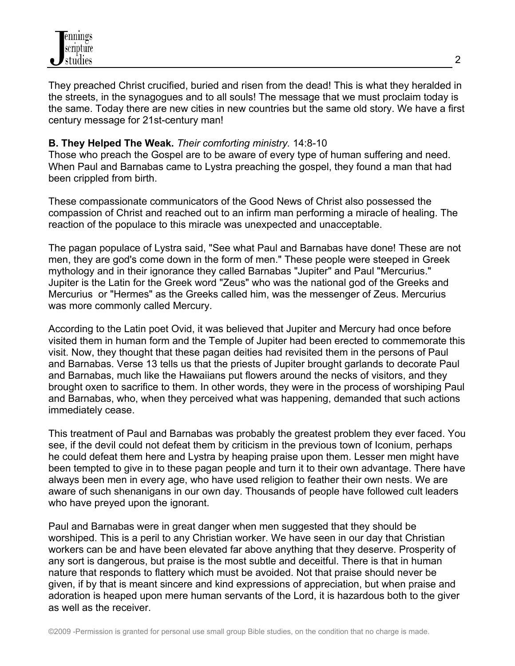They preached Christ crucified, buried and risen from the dead! This is what they heralded in the streets, in the synagogues and to all souls! The message that we must proclaim today is the same. Today there are new cities in new countries but the same old story. We have a first century message for 21st-century man!

# **B. They Helped The Weak.** *Their comforting ministry.* 14:8-10

Those who preach the Gospel are to be aware of every type of human suffering and need. When Paul and Barnabas came to Lystra preaching the gospel, they found a man that had been crippled from birth.

These compassionate communicators of the Good News of Christ also possessed the compassion of Christ and reached out to an infirm man performing a miracle of healing. The reaction of the populace to this miracle was unexpected and unacceptable.

The pagan populace of Lystra said, "See what Paul and Barnabas have done! These are not men, they are god's come down in the form of men." These people were steeped in Greek mythology and in their ignorance they called Barnabas "Jupiter" and Paul "Mercurius." Jupiter is the Latin for the Greek word "Zeus" who was the national god of the Greeks and Mercurius or "Hermes" as the Greeks called him, was the messenger of Zeus. Mercurius was more commonly called Mercury.

According to the Latin poet Ovid, it was believed that Jupiter and Mercury had once before visited them in human form and the Temple of Jupiter had been erected to commemorate this visit. Now, they thought that these pagan deities had revisited them in the persons of Paul and Barnabas. Verse 13 tells us that the priests of Jupiter brought garlands to decorate Paul and Barnabas, much like the Hawaiians put flowers around the necks of visitors, and they brought oxen to sacrifice to them. In other words, they were in the process of worshiping Paul and Barnabas, who, when they perceived what was happening, demanded that such actions immediately cease.

This treatment of Paul and Barnabas was probably the greatest problem they ever faced. You see, if the devil could not defeat them by criticism in the previous town of Iconium, perhaps he could defeat them here and Lystra by heaping praise upon them. Lesser men might have been tempted to give in to these pagan people and turn it to their own advantage. There have always been men in every age, who have used religion to feather their own nests. We are aware of such shenanigans in our own day. Thousands of people have followed cult leaders who have preyed upon the ignorant.

Paul and Barnabas were in great danger when men suggested that they should be worshiped. This is a peril to any Christian worker. We have seen in our day that Christian workers can be and have been elevated far above anything that they deserve. Prosperity of any sort is dangerous, but praise is the most subtle and deceitful. There is that in human nature that responds to flattery which must be avoided. Not that praise should never be given, if by that is meant sincere and kind expressions of appreciation, but when praise and adoration is heaped upon mere human servants of the Lord, it is hazardous both to the giver as well as the receiver.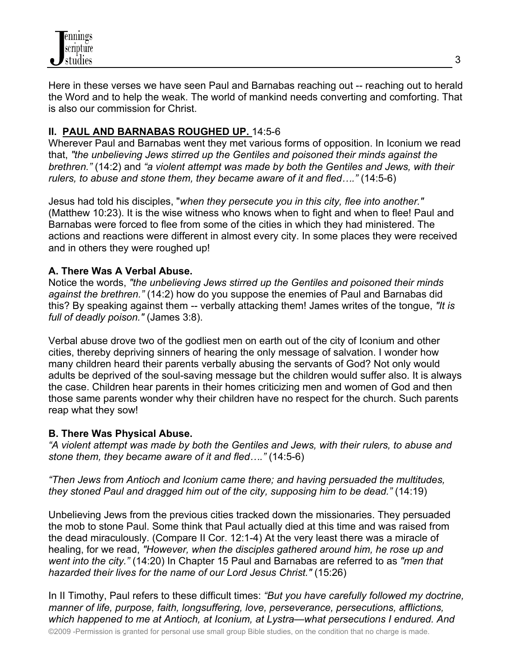

Here in these verses we have seen Paul and Barnabas reaching out -- reaching out to herald the Word and to help the weak. The world of mankind needs converting and comforting. That is also our commission for Christ.

# **II. PAUL AND BARNABAS ROUGHED UP.** 14:5-6

Wherever Paul and Barnabas went they met various forms of opposition. In Iconium we read that, *"the unbelieving Jews stirred up the Gentiles and poisoned their minds against the brethren."* (14:2) and *"a violent attempt was made by both the Gentiles and Jews, with their rulers, to abuse and stone them, they became aware of it and fled…."* (14:5-6)

Jesus had told his disciples, "*when they persecute you in this city, flee into another."* (Matthew 10:23). It is the wise witness who knows when to fight and when to flee! Paul and Barnabas were forced to flee from some of the cities in which they had ministered. The actions and reactions were different in almost every city. In some places they were received and in others they were roughed up!

#### **A. There Was A Verbal Abuse.**

Notice the words, *"the unbelieving Jews stirred up the Gentiles and poisoned their minds against the brethren."* (14:2) how do you suppose the enemies of Paul and Barnabas did this? By speaking against them -- verbally attacking them! James writes of the tongue, *"It is full of deadly poison."* (James 3:8).

Verbal abuse drove two of the godliest men on earth out of the city of Iconium and other cities, thereby depriving sinners of hearing the only message of salvation. I wonder how many children heard their parents verbally abusing the servants of God? Not only would adults be deprived of the soul-saving message but the children would suffer also. It is always the case. Children hear parents in their homes criticizing men and women of God and then those same parents wonder why their children have no respect for the church. Such parents reap what they sow!

#### **B. There Was Physical Abuse.**

*"A violent attempt was made by both the Gentiles and Jews, with their rulers, to abuse and stone them, they became aware of it and fled…."* (14:5-6)

*"Then Jews from Antioch and Iconium came there; and having persuaded the multitudes, they stoned Paul and dragged him out of the city, supposing him to be dead."* (14:19)

Unbelieving Jews from the previous cities tracked down the missionaries. They persuaded the mob to stone Paul. Some think that Paul actually died at this time and was raised from the dead miraculously. (Compare II Cor. 12:1-4) At the very least there was a miracle of healing, for we read, *"However, when the disciples gathered around him, he rose up and went into the city."* (14:20) In Chapter 15 Paul and Barnabas are referred to as *"men that hazarded their lives for the name of our Lord Jesus Christ."* (15:26)

In II Timothy, Paul refers to these difficult times: *"But you have carefully followed my doctrine, manner of life, purpose, faith, longsuffering, love, perseverance, persecutions, afflictions, which happened to me at Antioch, at Iconium, at Lystra—what persecutions I endured. And*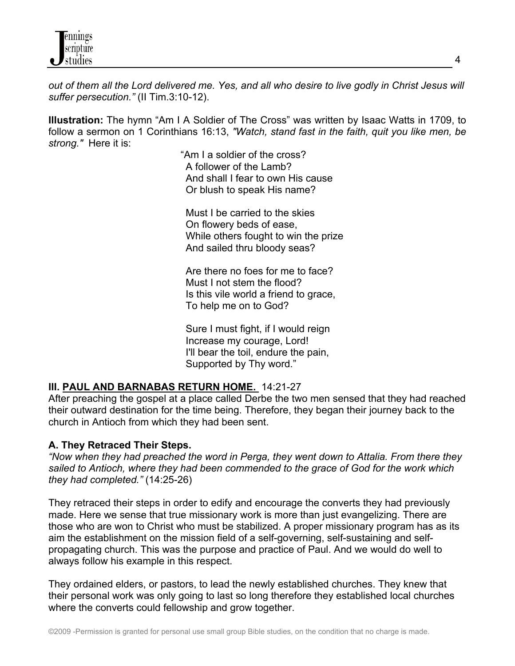*out of them all the Lord delivered me. Yes, and all who desire to live godly in Christ Jesus will suffer persecution."* (II Tim.3:10-12).

**Illustration:** The hymn "Am I A Soldier of The Cross" was written by Isaac Watts in 1709, to follow a sermon on 1 Corinthians 16:13, *"Watch, stand fast in the faith, quit you like men, be strong."* Here it is:

> "Am I a soldier of the cross? A follower of the Lamb? And shall I fear to own His cause Or blush to speak His name?

 Must I be carried to the skies On flowery beds of ease, While others fought to win the prize And sailed thru bloody seas?

 Are there no foes for me to face? Must I not stem the flood? Is this vile world a friend to grace, To help me on to God?

 Sure I must fight, if I would reign Increase my courage, Lord! I'll bear the toil, endure the pain, Supported by Thy word."

## **III. PAUL AND BARNABAS RETURN HOME.** 14:21-27

After preaching the gospel at a place called Derbe the two men sensed that they had reached their outward destination for the time being. Therefore, they began their journey back to the church in Antioch from which they had been sent.

## **A. They Retraced Their Steps.**

*"Now when they had preached the word in Perga, they went down to Attalia. From there they sailed to Antioch, where they had been commended to the grace of God for the work which they had completed."* (14:25-26)

They retraced their steps in order to edify and encourage the converts they had previously made. Here we sense that true missionary work is more than just evangelizing. There are those who are won to Christ who must be stabilized. A proper missionary program has as its aim the establishment on the mission field of a self-governing, self-sustaining and selfpropagating church. This was the purpose and practice of Paul. And we would do well to always follow his example in this respect.

They ordained elders, or pastors, to lead the newly established churches. They knew that their personal work was only going to last so long therefore they established local churches where the converts could fellowship and grow together.